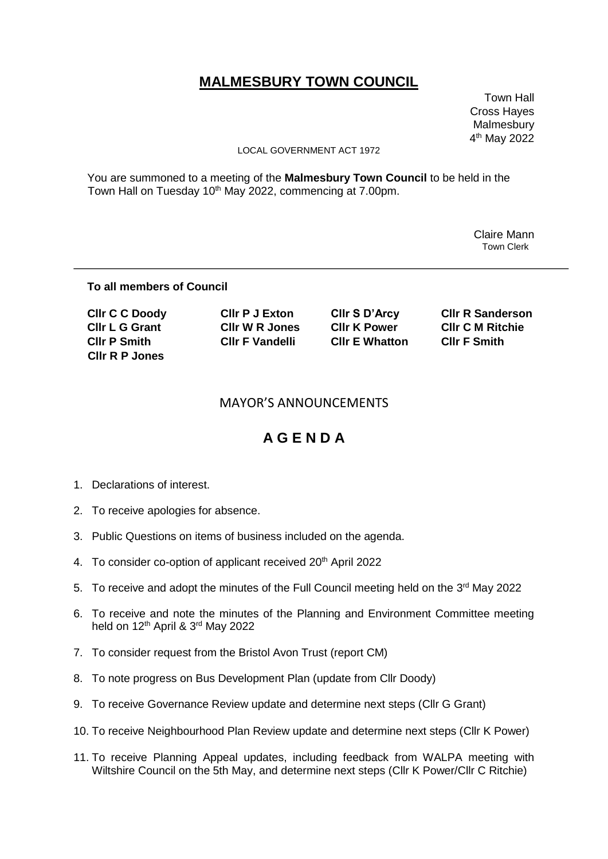# **MALMESBURY TOWN COUNCIL**

 Town Hall Cross Hayes Malmesbury 4 th May 2022

#### LOCAL GOVERNMENT ACT 1972

You are summoned to a meeting of the **Malmesbury Town Council** to be held in the Town Hall on Tuesday 10<sup>th</sup> May 2022, commencing at 7.00pm.

> Claire Mann Town Clerk

### **To all members of Council**

| <b>CIIr C C Doody</b> | <b>CIIr P J Exton</b> | CIIr S D'Arcy         | <b>CIIr R Sanderson</b> |
|-----------------------|-----------------------|-----------------------|-------------------------|
| <b>CIIr L G Grant</b> | CIIr W R Jones        | <b>CIIr K Power</b>   | <b>CIIr C M Ritchie</b> |
| <b>CIIr P Smith</b>   | CIIr F Vandelli       | <b>CIIr E Whatton</b> | <b>CIIr F Smith</b>     |
| CIIr R P Jones        |                       |                       |                         |

### MAYOR'S ANNOUNCEMENTS

## **A G E N D A**

- 1. Declarations of interest.
- 2. To receive apologies for absence.
- 3. Public Questions on items of business included on the agenda.
- 4. To consider co-option of applicant received 20<sup>th</sup> April 2022
- 5. To receive and adopt the minutes of the Full Council meeting held on the 3<sup>rd</sup> May 2022
- 6. To receive and note the minutes of the Planning and Environment Committee meeting held on 12<sup>th</sup> April & 3<sup>rd</sup> May 2022
- 7. To consider request from the Bristol Avon Trust (report CM)
- 8. To note progress on Bus Development Plan (update from Cllr Doody)
- 9. To receive Governance Review update and determine next steps (Cllr G Grant)
- 10. To receive Neighbourhood Plan Review update and determine next steps (Cllr K Power)
- 11. To receive Planning Appeal updates, including feedback from WALPA meeting with Wiltshire Council on the 5th May, and determine next steps (Cllr K Power/Cllr C Ritchie)